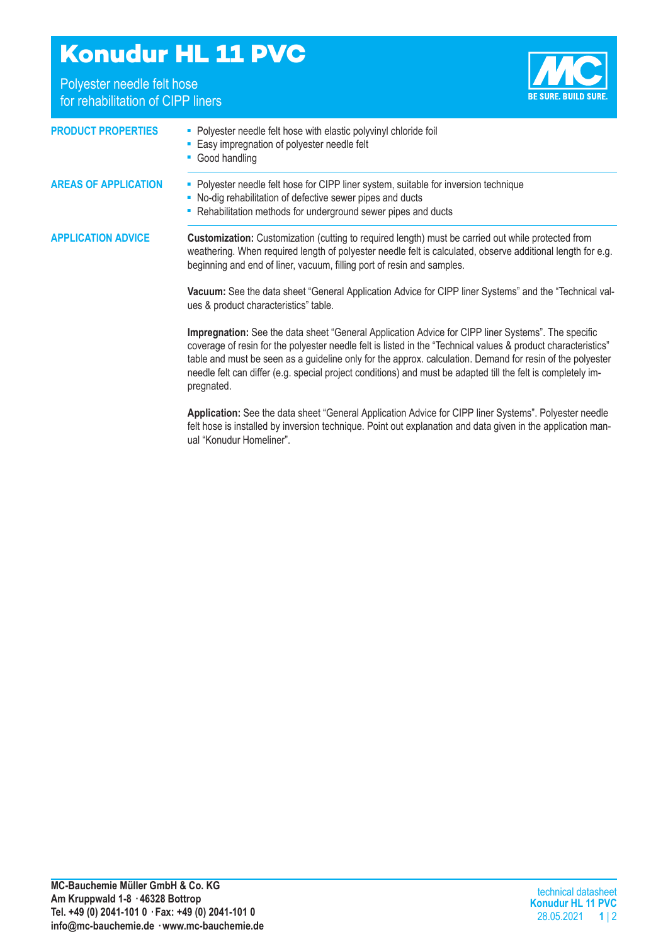## **Konudur HL 11 PVC**

Polyester needle felt hose for rehabilitation of CIPP liners



| <b>PRODUCT PROPERTIES</b>   | - Polyester needle felt hose with elastic polyvinyl chloride foil<br>- Easy impregnation of polyester needle felt<br>• Good handling                                                                                                                                                                                                                                                                                                                           |  |  |
|-----------------------------|----------------------------------------------------------------------------------------------------------------------------------------------------------------------------------------------------------------------------------------------------------------------------------------------------------------------------------------------------------------------------------------------------------------------------------------------------------------|--|--|
| <b>AREAS OF APPLICATION</b> | • Polyester needle felt hose for CIPP liner system, suitable for inversion technique<br>• No-dig rehabilitation of defective sewer pipes and ducts<br>- Rehabilitation methods for underground sewer pipes and ducts                                                                                                                                                                                                                                           |  |  |
| <b>APPLICATION ADVICE</b>   | <b>Customization:</b> Customization (cutting to required length) must be carried out while protected from<br>weathering. When required length of polyester needle felt is calculated, observe additional length for e.g.<br>beginning and end of liner, vacuum, filling port of resin and samples.                                                                                                                                                             |  |  |
|                             | Vacuum: See the data sheet "General Application Advice for CIPP liner Systems" and the "Technical val-<br>ues & product characteristics" table.                                                                                                                                                                                                                                                                                                                |  |  |
|                             | Impregnation: See the data sheet "General Application Advice for CIPP liner Systems". The specific<br>coverage of resin for the polyester needle felt is listed in the "Technical values & product characteristics"<br>table and must be seen as a guideline only for the approx. calculation. Demand for resin of the polyester<br>needle felt can differ (e.g. special project conditions) and must be adapted till the felt is completely im-<br>pregnated. |  |  |
|                             | Application: See the data sheet "General Application Advice for CIPP liner Systems". Polyester needle<br>felt hose is installed by inversion technique. Point out explanation and data given in the application man-<br>ual "Konudur Homeliner".                                                                                                                                                                                                               |  |  |